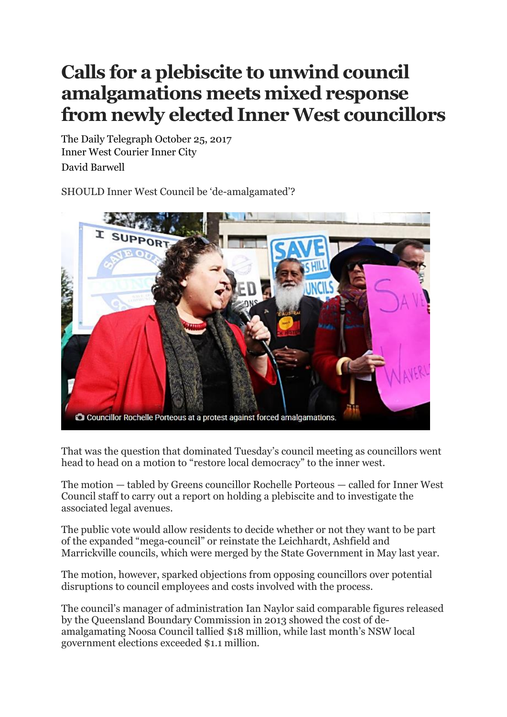## **Calls for a plebiscite to unwind council amalgamations meets mixed response from newly elected Inner West councillors**

The Daily Telegraph October 25, 2017 Inner West Courier Inner City David Barwell

SHOULD Inner West Council be 'de-amalgamated'?



That was the question that dominated Tuesday's council meeting as councillors went head to head on a motion to "restore local democracy" to the inner west.

The motion — tabled by Greens councillor Rochelle Porteous — called for Inner West Council staff to carry out a report on holding a plebiscite and to investigate the associated legal avenues.

The public vote would allow residents to decide whether or not they want to be part of the expanded "mega-council" or reinstate the Leichhardt, Ashfield and Marrickville councils, which were merged by the State Government in May last year.

The motion, however, sparked objections from opposing councillors over potential disruptions to council employees and costs involved with the process.

The council's manager of administration Ian Naylor said comparable figures released by the Queensland Boundary Commission in 2013 showed the cost of deamalgamating Noosa Council tallied \$18 million, while last month's NSW local government elections exceeded \$1.1 million.